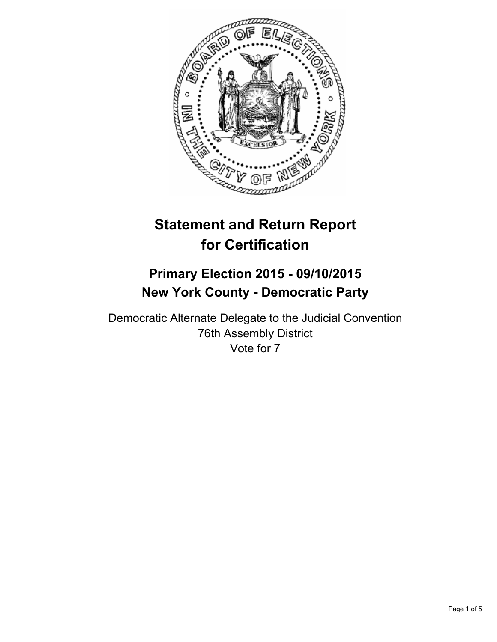

# **Statement and Return Report for Certification**

## **Primary Election 2015 - 09/10/2015 New York County - Democratic Party**

Democratic Alternate Delegate to the Judicial Convention 76th Assembly District Vote for 7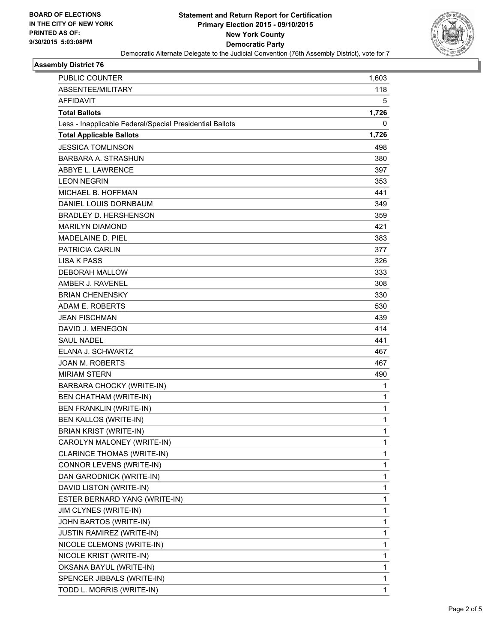

## **Assembly District 76**

| PUBLIC COUNTER                                           | 1.603 |
|----------------------------------------------------------|-------|
| ABSENTEE/MILITARY                                        | 118   |
| AFFIDAVIT                                                | 5     |
| <b>Total Ballots</b>                                     | 1,726 |
| Less - Inapplicable Federal/Special Presidential Ballots | 0     |
| <b>Total Applicable Ballots</b>                          | 1,726 |
| <b>JESSICA TOMLINSON</b>                                 | 498   |
| <b>BARBARA A. STRASHUN</b>                               | 380   |
| ABBYE L. LAWRENCE                                        | 397   |
| <b>LEON NEGRIN</b>                                       | 353   |
| MICHAEL B. HOFFMAN                                       | 441   |
| DANIEL LOUIS DORNBAUM                                    | 349   |
| BRADLEY D. HERSHENSON                                    | 359   |
| <b>MARILYN DIAMOND</b>                                   | 421   |
| <b>MADELAINE D. PIEL</b>                                 | 383   |
| <b>PATRICIA CARLIN</b>                                   | 377   |
| <b>LISA K PASS</b>                                       | 326   |
| <b>DEBORAH MALLOW</b>                                    | 333   |
| AMBER J. RAVENEL                                         | 308   |
| <b>BRIAN CHENENSKY</b>                                   | 330   |
| ADAM E. ROBERTS                                          | 530   |
| <b>JEAN FISCHMAN</b>                                     | 439   |
| DAVID J. MENEGON                                         | 414   |
| <b>SAUL NADEL</b>                                        | 441   |
| ELANA J. SCHWARTZ                                        | 467   |
| <b>JOAN M. ROBERTS</b>                                   | 467   |
| <b>MIRIAM STERN</b>                                      | 490   |
| BARBARA CHOCKY (WRITE-IN)                                | 1     |
| <b>BEN CHATHAM (WRITE-IN)</b>                            | 1     |
| BEN FRANKLIN (WRITE-IN)                                  | 1     |
| <b>BEN KALLOS (WRITE-IN)</b>                             | 1     |
| <b>BRIAN KRIST (WRITE-IN)</b>                            | 1     |
| CAROLYN MALONEY (WRITE-IN)                               | 1     |
| <b>CLARINCE THOMAS (WRITE-IN)</b>                        | 1     |
| CONNOR LEVENS (WRITE-IN)                                 | 1     |
| DAN GARODNICK (WRITE-IN)                                 | 1     |
| DAVID LISTON (WRITE-IN)                                  | 1     |
| ESTER BERNARD YANG (WRITE-IN)                            | 1     |
| JIM CLYNES (WRITE-IN)                                    | 1     |
| JOHN BARTOS (WRITE-IN)                                   | 1     |
| <b>JUSTIN RAMIREZ (WRITE-IN)</b>                         | 1     |
| NICOLE CLEMONS (WRITE-IN)                                | 1     |
| NICOLE KRIST (WRITE-IN)                                  | 1     |
| OKSANA BAYUL (WRITE-IN)                                  | 1     |
| SPENCER JIBBALS (WRITE-IN)                               | 1     |
| TODD L. MORRIS (WRITE-IN)                                | 1     |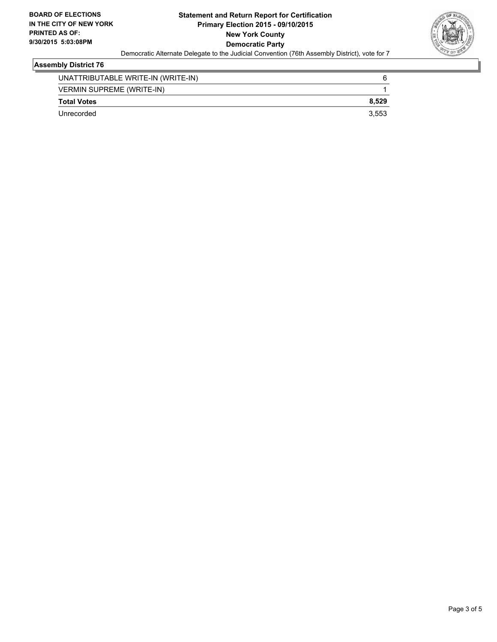

## **Assembly District 76**

| UNATTRIBUTABLE WRITE-IN (WRITE-IN) | 6     |
|------------------------------------|-------|
| <b>VERMIN SUPREME (WRITE-IN)</b>   |       |
| <b>Total Votes</b>                 | 8.529 |
| Unrecorded                         | 3.553 |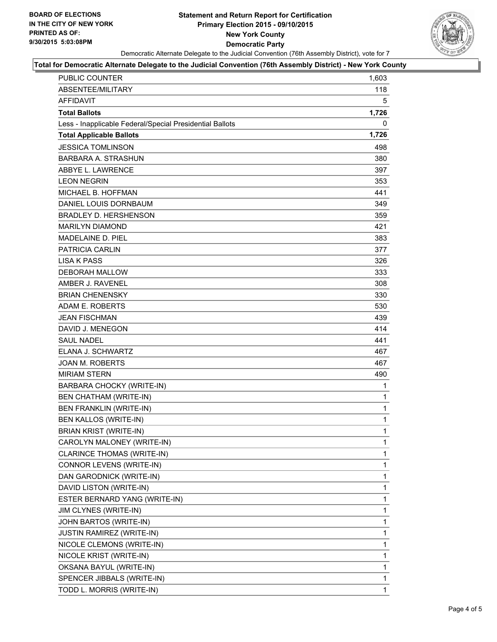### **Statement and Return Report for Certification Primary Election 2015 - 09/10/2015 New York County Democratic Party** Democratic Alternate Delegate to the Judicial Convention (76th Assembly District), vote for 7



#### **Total for Democratic Alternate Delegate to the Judicial Convention (76th Assembly District) - New York County**

| <b>PUBLIC COUNTER</b>                                    | 1,603        |
|----------------------------------------------------------|--------------|
| ABSENTEE/MILITARY                                        | 118          |
| AFFIDAVIT                                                | 5            |
| <b>Total Ballots</b>                                     | 1,726        |
| Less - Inapplicable Federal/Special Presidential Ballots | 0            |
| <b>Total Applicable Ballots</b>                          | 1,726        |
| <b>JESSICA TOMLINSON</b>                                 | 498          |
| BARBARA A. STRASHUN                                      | 380          |
| ABBYE L. LAWRENCE                                        | 397          |
| <b>LEON NEGRIN</b>                                       | 353          |
| MICHAEL B. HOFFMAN                                       | 441          |
| DANIEL LOUIS DORNBAUM                                    | 349          |
| BRADLEY D. HERSHENSON                                    | 359          |
| <b>MARILYN DIAMOND</b>                                   | 421          |
| MADELAINE D. PIEL                                        | 383          |
| PATRICIA CARLIN                                          | 377          |
| <b>LISA K PASS</b>                                       | 326          |
| <b>DEBORAH MALLOW</b>                                    | 333          |
| AMBER J. RAVENEL                                         | 308          |
| <b>BRIAN CHENENSKY</b>                                   | 330          |
| ADAM E. ROBERTS                                          | 530          |
| <b>JEAN FISCHMAN</b>                                     | 439          |
| DAVID J. MENEGON                                         | 414          |
| <b>SAUL NADEL</b>                                        | 441          |
| ELANA J. SCHWARTZ                                        | 467          |
| <b>JOAN M. ROBERTS</b>                                   | 467          |
| <b>MIRIAM STERN</b>                                      | 490          |
| BARBARA CHOCKY (WRITE-IN)                                | 1            |
| BEN CHATHAM (WRITE-IN)                                   | 1            |
| <b>BEN FRANKLIN (WRITE-IN)</b>                           | $\mathbf 1$  |
| <b>BEN KALLOS (WRITE-IN)</b>                             | 1            |
| <b>BRIAN KRIST (WRITE-IN)</b>                            | $\mathbf{1}$ |
| CAROLYN MALONEY (WRITE-IN)                               | 1            |
| <b>CLARINCE THOMAS (WRITE-IN)</b>                        | 1            |
| CONNOR LEVENS (WRITE-IN)                                 | 1            |
| DAN GARODNICK (WRITE-IN)                                 | 1            |
| DAVID LISTON (WRITE-IN)                                  | 1            |
| ESTER BERNARD YANG (WRITE-IN)                            | 1            |
| JIM CLYNES (WRITE-IN)                                    | 1            |
| JOHN BARTOS (WRITE-IN)                                   | 1            |
| JUSTIN RAMIREZ (WRITE-IN)                                | 1            |
| NICOLE CLEMONS (WRITE-IN)                                | 1            |
| NICOLE KRIST (WRITE-IN)                                  | 1            |
| OKSANA BAYUL (WRITE-IN)                                  | 1            |
| SPENCER JIBBALS (WRITE-IN)                               | 1            |
| TODD L. MORRIS (WRITE-IN)                                | 1            |